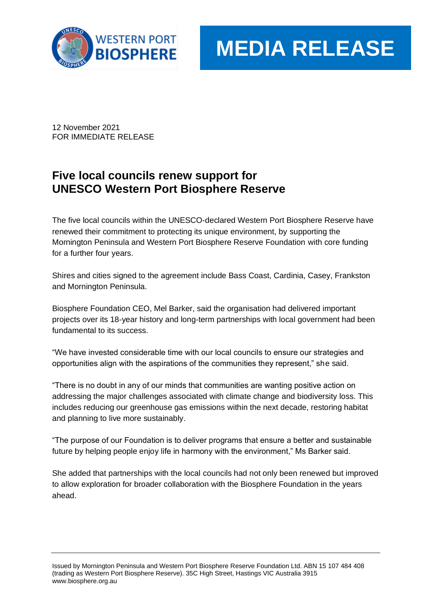

## **MEDIA RELEASE**

12 November 2021 FOR IMMEDIATE RELEASE

## **Five local councils renew support for UNESCO Western Port Biosphere Reserve**

The five local councils within the UNESCO-declared Western Port Biosphere Reserve have renewed their commitment to protecting its unique environment, by supporting the Mornington Peninsula and Western Port Biosphere Reserve Foundation with core funding for a further four years.

Shires and cities signed to the agreement include Bass Coast, Cardinia, Casey, Frankston and Mornington Peninsula.

Biosphere Foundation CEO, Mel Barker, said the organisation had delivered important projects over its 18-year history and long-term partnerships with local government had been fundamental to its success.

"We have invested considerable time with our local councils to ensure our strategies and opportunities align with the aspirations of the communities they represent," she said.

"There is no doubt in any of our minds that communities are wanting positive action on addressing the major challenges associated with climate change and biodiversity loss. This includes reducing our greenhouse gas emissions within the next decade, restoring habitat and planning to live more sustainably.

"The purpose of our Foundation is to deliver programs that ensure a better and sustainable future by helping people enjoy life in harmony with the environment," Ms Barker said.

She added that partnerships with the local councils had not only been renewed but improved to allow exploration for broader collaboration with the Biosphere Foundation in the years ahead.

Issued by Mornington Peninsula and Western Port Biosphere Reserve Foundation Ltd. ABN 15 107 484 408 (trading as Western Port Biosphere Reserve). 35C High Street, Hastings VIC Australia 3915 www.biosphere.org.au